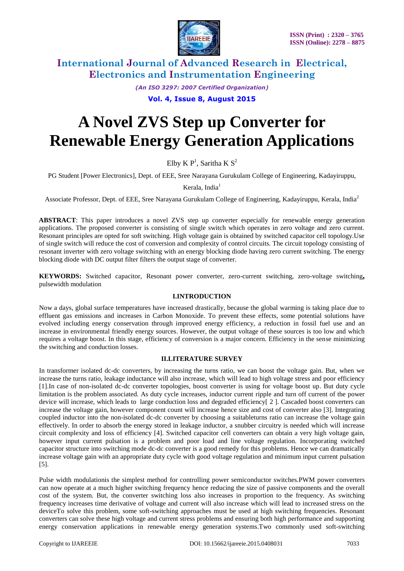

*(An ISO 3297: 2007 Certified Organization)*

## **Vol. 4, Issue 8, August 2015**

# **A Novel ZVS Step up Converter for Renewable Energy Generation Applications**

Elby K  $P<sup>1</sup>$ , Saritha K  $S<sup>2</sup>$ 

PG Student [Power Electronics], Dept. of EEE, Sree Narayana Gurukulam College of Engineering, Kadayiruppu,

Kerala, India<sup>1</sup>

Associate Professor, Dept. of EEE, Sree Narayana Gurukulam College of Engineering, Kadayiruppu, Kerala, India<sup>2</sup>

**ABSTRACT**: This paper introduces a novel ZVS step up converter especially for renewable energy generation applications. The proposed converter is consisting of single switch which operates in zero voltage and zero current. Resonant principles are opted for soft switching. High voltage gain is obtained by switched capacitor cell topology.Use of single switch will reduce the cost of conversion and complexity of control circuits. The circuit topology consisting of resonant inverter with zero voltage switching with an energy blocking diode having zero current switching. The energy blocking diode with DC output filter filters the output stage of converter.

**KEYWORDS:** Switched capacitor, Resonant power converter, zero-current switching, zero-voltage switching**,**  pulsewidth modulation

## **I.INTRODUCTION**

Now a days, global surface temperatures have increased drastically, because the global warming is taking place due to effluent gas emissions and increases in Carbon Monoxide. To prevent these effects, some potential solutions have evolved including energy conservation through improved energy efficiency, a reduction in fossil fuel use and an increase in environmental friendly energy sources. However, the output voltage of these sources is too low and which requires a voltage boost. In this stage, efficiency of conversion is a major concern. Efficiency in the sense minimizing the switching and conduction losses.

#### **II.LITERATURE SURVEY**

In transformer isolated dc-dc converters, by increasing the turns ratio, we can boost the voltage gain. But, when we increase the turns ratio, leakage inductance will also increase, which will lead to high voltage stress and poor efficiency [1].In case of non-isolated dc-dc converter topologies, boost converter is using for voltage boost up. But duty cycle limitation is the problem associated. As duty cycle increases, inductor current ripple and turn off current of the power device will increase, which leads to large conduction loss and degraded efficiency[ 2 ]. Cascaded boost converters can increase the voltage gain, however component count will increase hence size and cost of converter also [3]. Integrating coupled inductor into the non-isolated dc-dc converter by choosing a suitableturns ratio can increase the voltage gain effectively. In order to absorb the energy stored in leakage inductor, a snubber circuitry is needed which will increase circuit complexity and loss of efficiency [4]. Switched capacitor cell converters can obtain a very high voltage gain, however input current pulsation is a problem and poor load and line voltage regulation. Incorporating switched capacitor structure into switching mode dc-dc converter is a good remedy for this problems. Hence we can dramatically increase voltage gain with an appropriate duty cycle with good voltage regulation and minimum input current pulsation [5].

Pulse width modulationis the simplest method for controlling power semiconductor switches.PWM power converters can now operate at a much higher switching frequency hence reducing the size of passive components and the overall cost of the system. But, the converter switching loss also increases in proportion to the frequency. As switching frequency increases time derivative of voltage and current will also increase which will lead to increased stress on the deviceTo solve this problem, some soft-switching approaches must be used at high switching frequencies. Resonant converters can solve these high voltage and current stress problems and ensuring both high performance and supporting energy conservation applications in renewable energy generation systems.Two commonly used soft-switching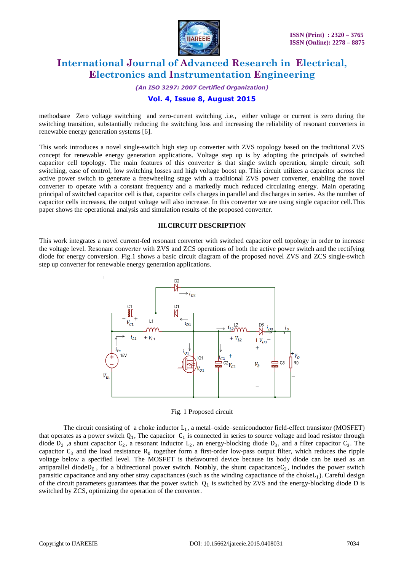

*(An ISO 3297: 2007 Certified Organization)*

## **Vol. 4, Issue 8, August 2015**

methodsare Zero voltage switching and zero-current switching .i.e., either voltage or current is zero during the switching transition, substantially reducing the switching loss and increasing the reliability of resonant converters in renewable energy generation systems [6].

This work introduces a novel single-switch high step up converter with ZVS topology based on the traditional ZVS concept for renewable energy generation applications. Voltage step up is by adopting the principals of switched capacitor cell topology. The main features of this converter is that single switch operation, simple circuit, soft switching, ease of control, low switching losses and high voltage boost up. This circuit utilizes a capacitor across the active power switch to generate a freewheeling stage with a traditional ZVS power converter, enabling the novel converter to operate with a constant frequency and a markedly much reduced circulating energy. Main operating principal of switched capacitor cell is that, capacitor cells charges in parallel and discharges in series. As the number of capacitor cells increases, the output voltage will also increase. In this converter we are using single capacitor cell.This paper shows the operational analysis and simulation results of the proposed converter.

#### **III.CIRCUIT DESCRIPTION**

This work integrates a novel current-fed resonant converter with switched capacitor cell topology in order to increase the voltage level. Resonant converter with ZVS and ZCS operations of both the active power switch and the rectifying diode for energy conversion. Fig.1 shows a basic circuit diagram of the proposed novel ZVS and ZCS single-switch step up converter for renewable energy generation applications.



#### Fig. 1 Proposed circuit

The circuit consisting of a choke inductor  $L_1$ , a metal-oxide-semiconductor field-effect transistor (MOSFET) that operates as a power switch  $Q_1$ , The capacitor  $C_1$  is connected in series to source voltage and load resistor through diode  $D_2$ , a shunt capacitor  $C_2$ , a resonant inductor  $L_2$ , an energy-blocking diode  $D_3$ , and a filter capacitor  $C_3$ . The capacitor  $C_3$  and the load resistance  $R_0$  together form a first-order low-pass output filter, which reduces the ripple voltage below a specified level. The MOSFET is thefavoured device because its body diode can be used as an antiparallel diode $D_E$ , for a bidirectional power switch. Notably, the shunt capacitance  $C_2$ , includes the power switch parasitic capacitance and any other stray capacitances (such as the winding capacitance of the chokeL<sub>1</sub>). Careful design of the circuit parameters guarantees that the power switch  $Q_1$  is switched by ZVS and the energy-blocking diode D is switched by ZCS, optimizing the operation of the converter.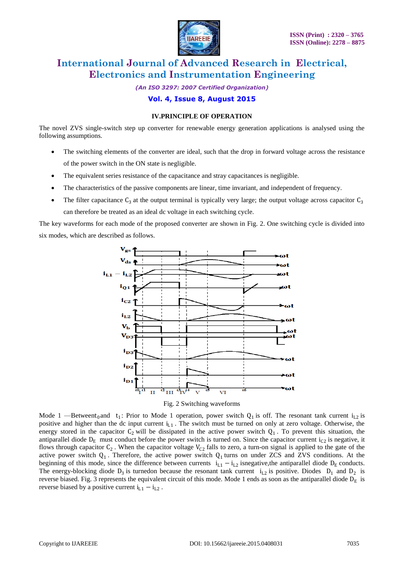

*(An ISO 3297: 2007 Certified Organization)* **Vol. 4, Issue 8, August 2015**

#### **IV.PRINCIPLE OF OPERATION**

The novel ZVS single-switch step up converter for renewable energy generation applications is analysed using the following assumptions.

- The switching elements of the converter are ideal, such that the drop in forward voltage across the resistance of the power switch in the ON state is negligible.
- The equivalent series resistance of the capacitance and stray capacitances is negligible.
- The characteristics of the passive components are linear, time invariant, and independent of frequency.
- The filter capacitance  $C_3$  at the output terminal is typically very large; the output voltage across capacitor  $C_3$ can therefore be treated as an ideal dc voltage in each switching cycle.

The key waveforms for each mode of the proposed converter are shown in Fig. 2. One switching cycle is divided into six modes, which are described as follows.



Fig. 2 Switching waveforms

Mode 1 —Betweent<sub>0</sub> and t<sub>1</sub>: Prior to Mode 1 operation, power switch  $Q_1$  is off. The resonant tank current i<sub>L2</sub> is positive and higher than the dc input current  $i_{L1}$ . The switch must be turned on only at zero voltage. Otherwise, the energy stored in the capacitor  $C_2$  will be dissipated in the active power switch  $Q_1$ . To prevent this situation, the antiparallel diode  $D_E$  must conduct before the power switch is turned on. Since the capacitor current  $i_{C2}$  is negative, it flows through capacitor  $C_2$ . When the capacitor voltage  $V_{C2}$  falls to zero, a turn-on signal is applied to the gate of the active power switch  $Q_1$ . Therefore, the active power switch  $Q_1$  turns on under ZCS and ZVS conditions. At the beginning of this mode, since the difference between currents  $i_{L1} - i_{L2}$  isnegative, the antiparallel diode  $D_E$  conducts. The energy-blocking diode  $D_3$  is turnedon because the resonant tank current  $i_{L2}$  is positive. Diodes  $D_1$  and  $D_2$  is reverse biased. Fig. 3 represents the equivalent circuit of this mode. Mode 1 ends as soon as the antiparallel diode  $D_E$  is reverse biased by a positive current  $i_{L1} - i_{L2}$ .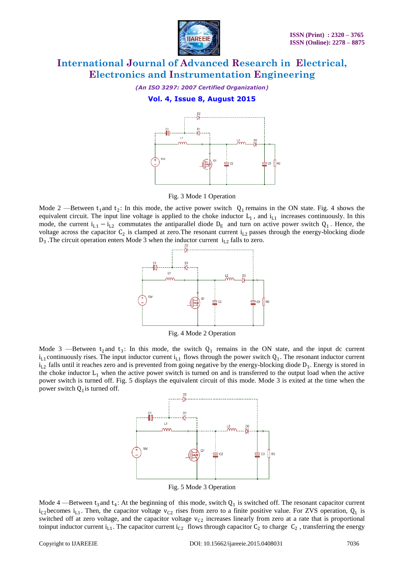

*(An ISO 3297: 2007 Certified Organization)*

## **Vol. 4, Issue 8, August 2015**



Fig. 3 Mode 1 Operation

Mode 2 —Between  $t_1$  and  $t_2$ : In this mode, the active power switch  $Q_1$  remains in the ON state. Fig. 4 shows the equivalent circuit. The input line voltage is applied to the choke inductor  $L_1$ , and  $i_{L1}$  increases continuously. In this mode, the current  $i_{L1} - i_{L2}$  commutates the antiparallel diode  $D_E$  and turn on active power switch  $Q_1$ . Hence, the voltage across the capacitor  $C_2$  is clamped at zero. The resonant current  $i_{L2}$  passes through the energy-blocking diode  $D_3$ . The circuit operation enters Mode 3 when the inductor current  $i_{L2}$  falls to zero.



Fig. 4 Mode 2 Operation

Mode 3 —Between  $t_2$  and  $t_3$ : In this mode, the switch  $Q_1$  remains in the ON state, and the input dc current  $i_{L1}$  continuously rises. The input inductor current  $i_{L1}$  flows through the power switch  $Q_1$ . The resonant inductor current  $i_{L2}$  falls until it reaches zero and is prevented from going negative by the energy-blocking diode  $D_3$ . Energy is stored in the choke inductor  $L_1$  when the active power switch is turned on and is transferred to the output load when the active power switch is turned off. Fig. 5 displays the equivalent circuit of this mode. Mode 3 is exited at the time when the power switch  $Q_1$  is turned off.



Fig. 5 Mode 3 Operation

Mode  $4$  —Between  $t_3$  and  $t_4$ : At the beginning of this mode, switch  $Q_1$  is switched off. The resonant capacitor current  $i_{C2}$  becomes  $i_{L1}$ . Then, the capacitor voltage  $v_{C2}$  rises from zero to a finite positive value. For ZVS operation,  $Q_1$  is switched off at zero voltage, and the capacitor voltage  $v_{C2}$  increases linearly from zero at a rate that is proportional toinput inductor current  $i_{L1}$ . The capacitor current  $i_{C2}$  flows through capacitor  $C_2$  to charge  $C_2$ , transferring the energy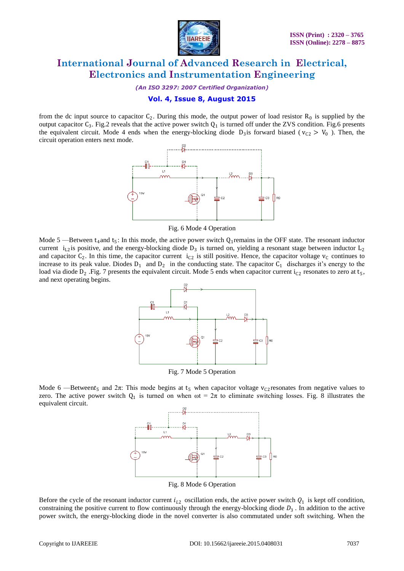

*(An ISO 3297: 2007 Certified Organization)*

## **Vol. 4, Issue 8, August 2015**

from the dc input source to capacitor  $C_2$ . During this mode, the output power of load resistor  $R_0$  is supplied by the output capacitor  $C_3$ . Fig.2 reveals that the active power switch  $Q_1$  is turned off under the ZVS condition. Fig.6 presents the equivalent circuit. Mode 4 ends when the energy-blocking diode  $D_3$  is forward biased ( $v_{C2} > V_0$ ). Then, the circuit operation enters next mode.



Fig. 6 Mode 4 Operation

Mode  $5$  —Between  $t_4$  and  $t_5$ : In this mode, the active power switch  $Q_1$  remains in the OFF state. The resonant inductor current  $i_{L2}$  is positive, and the energy-blocking diode  $D_3$  is turned on, yielding a resonant stage between inductor  $L_2$ and capacitor  $C_2$ . In this time, the capacitor current  $i_{C2}$  is still positive. Hence, the capacitor voltage  $v_C$  continues to increase to its peak value. Diodes  $D_1$  and  $D_2$  in the conducting state. The capacitor  $C_1$  discharges it's energy to the load via diode  $D_2$ . Fig. 7 presents the equivalent circuit. Mode 5 ends when capacitor current  $i_{C2}$  resonates to zero at  $t_5$ , and next operating begins.



Fig. 7 Mode 5 Operation

Mode 6 – Betweent<sub>5</sub> and  $2\pi$ : This mode begins at t<sub>5</sub> when capacitor voltage v<sub>C2</sub> resonates from negative values to zero. The active power switch  $Q_1$  is turned on when  $\omega t = 2\pi$  to eliminate switching losses. Fig. 8 illustrates the equivalent circuit.



Fig. 8 Mode 6 Operation

Before the cycle of the resonant inductor current  $i_{L2}$  oscillation ends, the active power switch  $Q_1$  is kept off condition, constraining the positive current to flow continuously through the energy-blocking diode  $D_3$ . In addition to the active power switch, the energy-blocking diode in the novel converter is also commutated under soft switching. When the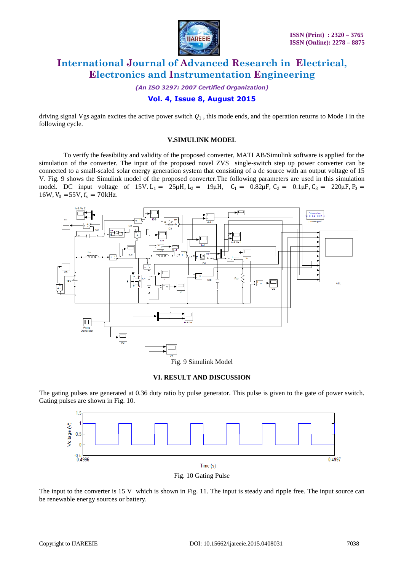

*(An ISO 3297: 2007 Certified Organization)*

## **Vol. 4, Issue 8, August 2015**

driving signal Vgs again excites the active power switch  $Q_1$ , this mode ends, and the operation returns to Mode I in the following cycle.

### **V.SIMULINK MODEL**

To verify the feasibility and validity of the proposed converter, MATLAB/Simulink software is applied for the simulation of the converter. The input of the proposed novel ZVS single-switch step up power converter can be connected to a small-scaled solar energy generation system that consisting of a dc source with an output voltage of 15 V. Fig. 9 shows the Simulink model of the proposed converter.The following parameters are used in this simulation model. DC input voltage of 15V. L<sub>1</sub> = 25μH, L<sub>2</sub> = 19μH, C<sub>1</sub> = 0.82μF, C<sub>2</sub> = 0.1μF, C<sub>3</sub> = 220μF, P<sub>0</sub> = 16W,  $V_0$  =55V,  $f_s$  = 70kHz.



### **VI. RESULT AND DISCUSSION**

The gating pulses are generated at 0.36 duty ratio by pulse generator. This pulse is given to the gate of power switch. Gating pulses are shown in Fig. 10.



Fig. 10 Gating Pulse

The input to the converter is 15 V which is shown in Fig. 11. The input is steady and ripple free. The input source can be renewable energy sources or battery.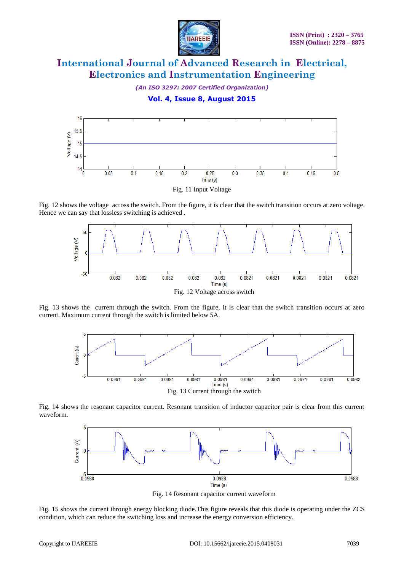

*(An ISO 3297: 2007 Certified Organization)*

**Vol. 4, Issue 8, August 2015**



Fig. 11 Input Voltage

Fig. 12 shows the voltage across the switch. From the figure, it is clear that the switch transition occurs at zero voltage. Hence we can say that lossless switching is achieved .



Fig. 13 shows the current through the switch. From the figure, it is clear that the switch transition occurs at zero current. Maximum current through the switch is limited below 5A.



Fig. 14 shows the resonant capacitor current. Resonant transition of inductor capacitor pair is clear from this current waveform.



Fig. 14 Resonant capacitor current waveform

Fig. 15 shows the current through energy blocking diode.This figure reveals that this diode is operating under the ZCS condition, which can reduce the switching loss and increase the energy conversion efficiency.